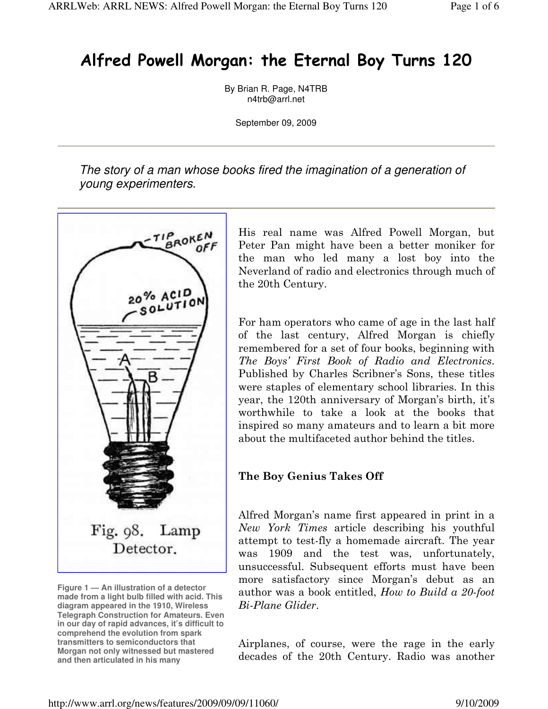## Alfred Powell Morgan: the Eternal Boy Turns 120

By Brian R. Page, N4TRB n4trb@arrl.net

September 09, 2009

The story of a man whose books fired the imagination of a generation of young experimenters.



**Figure 1 — An illustration of a detector made from a light bulb filled with acid. This diagram appeared in the 1910, Wireless Telegraph Construction for Amateurs. Even in our day of rapid advances, it's difficult to comprehend the evolution from spark transmitters to semiconductors that Morgan not only witnessed but mastered and then articulated in his many** 

His real name was Alfred Powell Morgan, but Peter Pan might have been a better moniker for the man who led many a lost boy into the Neverland of radio and electronics through much of the 20th Century.

For ham operators who came of age in the last half of the last century, Alfred Morgan is chiefly remembered for a set of four books, beginning with The Boys' First Book of Radio and Electronics. Published by Charles Scribner's Sons, these titles were staples of elementary school libraries. In this year, the 120th anniversary of Morgan's birth, it's worthwhile to take a look at the books that inspired so many amateurs and to learn a bit more about the multifaceted author behind the titles.

## The Boy Genius Takes Off

Alfred Morgan's name first appeared in print in a New York Times article describing his youthful attempt to test-fly a homemade aircraft. The year was 1909 and the test was, unfortunately, unsuccessful. Subsequent efforts must have been more satisfactory since Morgan's debut as an author was a book entitled, How to Build a 20-foot Bi-Plane Glider.

Airplanes, of course, were the rage in the early decades of the 20th Century. Radio was another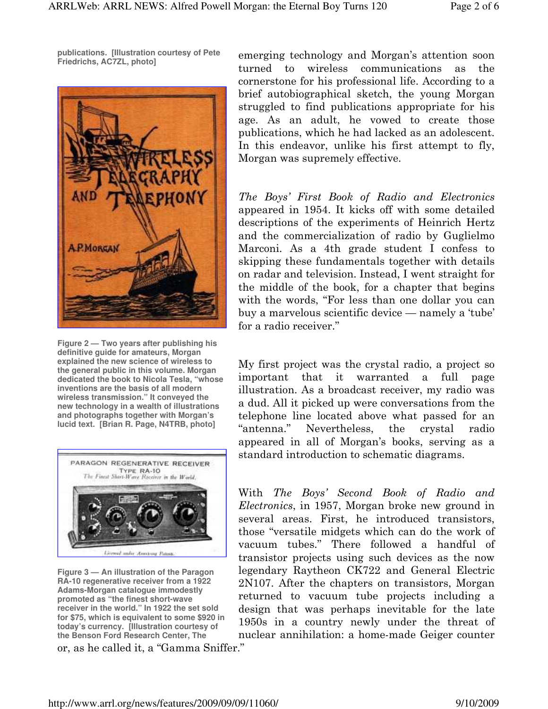**publications. [Illustration courtesy of Pete Friedrichs, AC7ZL, photo]** 



**Figure 2 — Two years after publishing his definitive guide for amateurs, Morgan explained the new science of wireless to the general public in this volume. Morgan dedicated the book to Nicola Tesla, "whose inventions are the basis of all modern wireless transmission." It conveyed the new technology in a wealth of illustrations and photographs together with Morgan's lucid text. [Brian R. Page, N4TRB, photo]** 



**Figure 3 — An illustration of the Paragon RA-10 regenerative receiver from a 1922 Adams-Morgan catalogue immodestly promoted as "the finest short-wave receiver in the world." In 1922 the set sold for \$75, which is equivalent to some \$920 in today's currency. [Illustration courtesy of the Benson Ford Research Center, The** 

or, as he called it, a "Gamma Sniffer."

emerging technology and Morgan's attention soon turned to wireless communications as the cornerstone for his professional life. According to a brief autobiographical sketch, the young Morgan struggled to find publications appropriate for his age. As an adult, he vowed to create those publications, which he had lacked as an adolescent. In this endeavor, unlike his first attempt to fly, Morgan was supremely effective.

The Boys' First Book of Radio and Electronics appeared in 1954. It kicks off with some detailed descriptions of the experiments of Heinrich Hertz and the commercialization of radio by Guglielmo Marconi. As a 4th grade student I confess to skipping these fundamentals together with details on radar and television. Instead, I went straight for the middle of the book, for a chapter that begins with the words, "For less than one dollar you can buy a marvelous scientific device — namely a 'tube' for a radio receiver."

My first project was the crystal radio, a project so important that it warranted a full page illustration. As a broadcast receiver, my radio was a dud. All it picked up were conversations from the telephone line located above what passed for an "antenna." Nevertheless, the crystal radio appeared in all of Morgan's books, serving as a standard introduction to schematic diagrams.

With The Boys' Second Book of Radio and Electronics, in 1957, Morgan broke new ground in several areas. First, he introduced transistors, those "versatile midgets which can do the work of vacuum tubes." There followed a handful of transistor projects using such devices as the now legendary Raytheon CK722 and General Electric 2N107. After the chapters on transistors, Morgan returned to vacuum tube projects including a design that was perhaps inevitable for the late 1950s in a country newly under the threat of nuclear annihilation: a home-made Geiger counter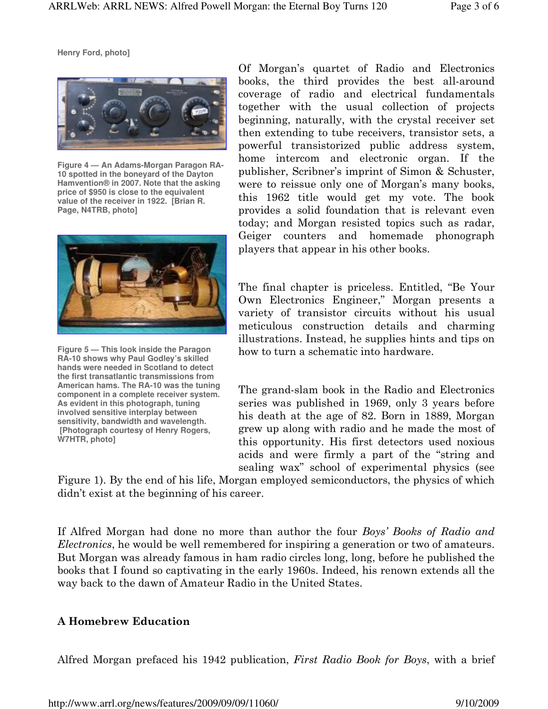**Henry Ford, photo]** 



**Figure 4 — An Adams-Morgan Paragon RA-10 spotted in the boneyard of the Dayton Hamvention® in 2007. Note that the asking price of \$950 is close to the equivalent value of the receiver in 1922. [Brian R. Page, N4TRB, photo]** 



**Figure 5 — This look inside the Paragon RA-10 shows why Paul Godley's skilled hands were needed in Scotland to detect the first transatlantic transmissions from American hams. The RA-10 was the tuning component in a complete receiver system. As evident in this photograph, tuning involved sensitive interplay between sensitivity, bandwidth and wavelength. [Photograph courtesy of Henry Rogers. W7HTR, photo]** 

Of Morgan's quartet of Radio and Electronics books, the third provides the best all-around coverage of radio and electrical fundamentals together with the usual collection of projects beginning, naturally, with the crystal receiver set then extending to tube receivers, transistor sets, a powerful transistorized public address system, home intercom and electronic organ. If the publisher, Scribner's imprint of Simon & Schuster, were to reissue only one of Morgan's many books, this 1962 title would get my vote. The book provides a solid foundation that is relevant even today; and Morgan resisted topics such as radar, Geiger counters and homemade phonograph players that appear in his other books.

The final chapter is priceless. Entitled, "Be Your Own Electronics Engineer," Morgan presents a variety of transistor circuits without his usual meticulous construction details and charming illustrations. Instead, he supplies hints and tips on how to turn a schematic into hardware.

The grand-slam book in the Radio and Electronics series was published in 1969, only 3 years before his death at the age of 82. Born in 1889, Morgan grew up along with radio and he made the most of this opportunity. His first detectors used noxious acids and were firmly a part of the "string and sealing wax" school of experimental physics (see

Figure 1). By the end of his life, Morgan employed semiconductors, the physics of which didn't exist at the beginning of his career.

If Alfred Morgan had done no more than author the four Boys' Books of Radio and Electronics, he would be well remembered for inspiring a generation or two of amateurs. But Morgan was already famous in ham radio circles long, long, before he published the books that I found so captivating in the early 1960s. Indeed, his renown extends all the way back to the dawn of Amateur Radio in the United States.

## A Homebrew Education

Alfred Morgan prefaced his 1942 publication, First Radio Book for Boys, with a brief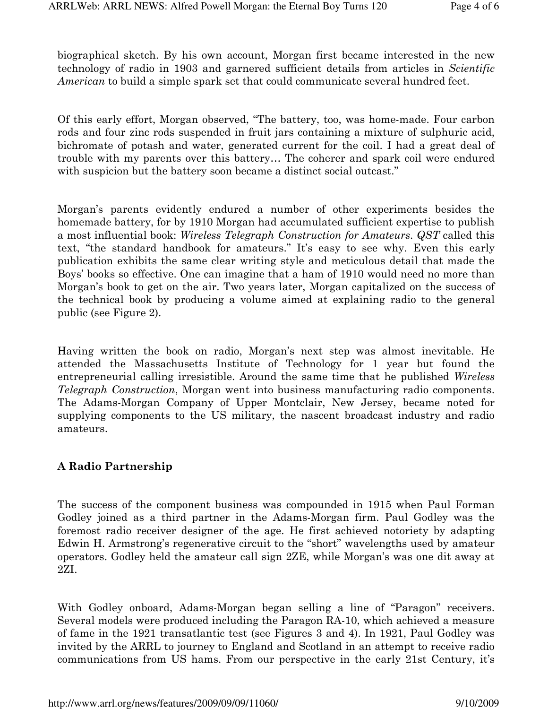biographical sketch. By his own account, Morgan first became interested in the new technology of radio in 1903 and garnered sufficient details from articles in Scientific American to build a simple spark set that could communicate several hundred feet.

Of this early effort, Morgan observed, "The battery, too, was home-made. Four carbon rods and four zinc rods suspended in fruit jars containing a mixture of sulphuric acid, bichromate of potash and water, generated current for the coil. I had a great deal of trouble with my parents over this battery… The coherer and spark coil were endured with suspicion but the battery soon became a distinct social outcast."

Morgan's parents evidently endured a number of other experiments besides the homemade battery, for by 1910 Morgan had accumulated sufficient expertise to publish a most influential book: Wireless Telegraph Construction for Amateurs. QST called this text, "the standard handbook for amateurs." It's easy to see why. Even this early publication exhibits the same clear writing style and meticulous detail that made the Boys' books so effective. One can imagine that a ham of 1910 would need no more than Morgan's book to get on the air. Two years later, Morgan capitalized on the success of the technical book by producing a volume aimed at explaining radio to the general public (see Figure 2).

Having written the book on radio, Morgan's next step was almost inevitable. He attended the Massachusetts Institute of Technology for 1 year but found the entrepreneurial calling irresistible. Around the same time that he published Wireless Telegraph Construction, Morgan went into business manufacturing radio components. The Adams-Morgan Company of Upper Montclair, New Jersey, became noted for supplying components to the US military, the nascent broadcast industry and radio amateurs.

## A Radio Partnership

The success of the component business was compounded in 1915 when Paul Forman Godley joined as a third partner in the Adams-Morgan firm. Paul Godley was the foremost radio receiver designer of the age. He first achieved notoriety by adapting Edwin H. Armstrong's regenerative circuit to the "short" wavelengths used by amateur operators. Godley held the amateur call sign 2ZE, while Morgan's was one dit away at 2ZI.

With Godley onboard, Adams-Morgan began selling a line of "Paragon" receivers. Several models were produced including the Paragon RA-10, which achieved a measure of fame in the 1921 transatlantic test (see Figures 3 and 4). In 1921, Paul Godley was invited by the ARRL to journey to England and Scotland in an attempt to receive radio communications from US hams. From our perspective in the early 21st Century, it's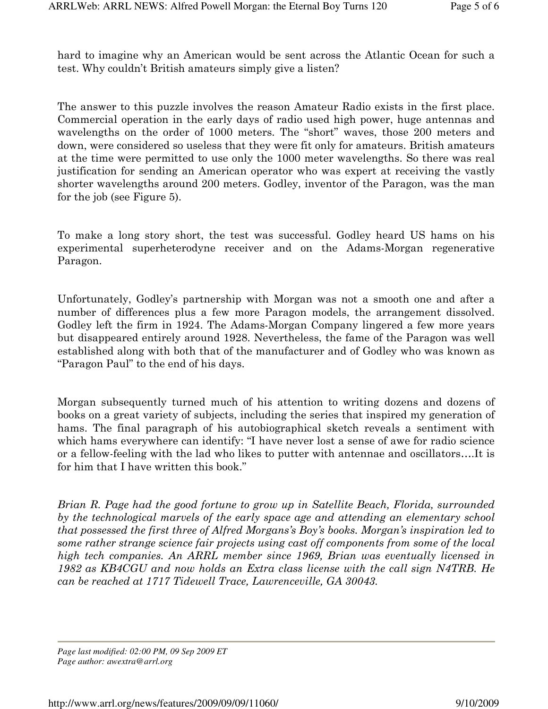hard to imagine why an American would be sent across the Atlantic Ocean for such a test. Why couldn't British amateurs simply give a listen?

The answer to this puzzle involves the reason Amateur Radio exists in the first place. Commercial operation in the early days of radio used high power, huge antennas and wavelengths on the order of 1000 meters. The "short" waves, those 200 meters and down, were considered so useless that they were fit only for amateurs. British amateurs at the time were permitted to use only the 1000 meter wavelengths. So there was real justification for sending an American operator who was expert at receiving the vastly shorter wavelengths around 200 meters. Godley, inventor of the Paragon, was the man for the job (see Figure 5).

To make a long story short, the test was successful. Godley heard US hams on his experimental superheterodyne receiver and on the Adams-Morgan regenerative Paragon.

Unfortunately, Godley's partnership with Morgan was not a smooth one and after a number of differences plus a few more Paragon models, the arrangement dissolved. Godley left the firm in 1924. The Adams-Morgan Company lingered a few more years but disappeared entirely around 1928. Nevertheless, the fame of the Paragon was well established along with both that of the manufacturer and of Godley who was known as "Paragon Paul" to the end of his days.

Morgan subsequently turned much of his attention to writing dozens and dozens of books on a great variety of subjects, including the series that inspired my generation of hams. The final paragraph of his autobiographical sketch reveals a sentiment with which hams everywhere can identify: "I have never lost a sense of awe for radio science or a fellow-feeling with the lad who likes to putter with antennae and oscillators….It is for him that I have written this book."

Brian R. Page had the good fortune to grow up in Satellite Beach, Florida, surrounded by the technological marvels of the early space age and attending an elementary school that possessed the first three of Alfred Morgans's Boy's books. Morgan's inspiration led to some rather strange science fair projects using cast off components from some of the local high tech companies. An ARRL member since 1969, Brian was eventually licensed in 1982 as KB4CGU and now holds an Extra class license with the call sign N4TRB. He can be reached at 1717 Tidewell Trace, Lawrenceville, GA 30043.

*Page last modified: 02:00 PM, 09 Sep 2009 ET Page author: awextra@arrl.org*